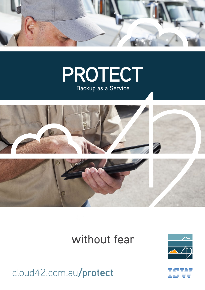





## without fear